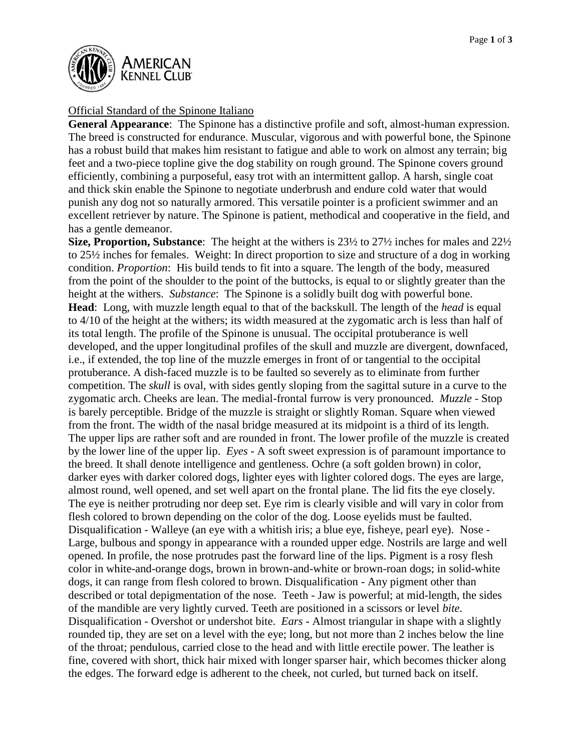

## Official Standard of the Spinone Italiano

**General Appearance**: The Spinone has a distinctive profile and soft, almost-human expression. The breed is constructed for endurance. Muscular, vigorous and with powerful bone, the Spinone has a robust build that makes him resistant to fatigue and able to work on almost any terrain; big feet and a two-piece topline give the dog stability on rough ground. The Spinone covers ground efficiently, combining a purposeful, easy trot with an intermittent gallop. A harsh, single coat and thick skin enable the Spinone to negotiate underbrush and endure cold water that would punish any dog not so naturally armored. This versatile pointer is a proficient swimmer and an excellent retriever by nature. The Spinone is patient, methodical and cooperative in the field, and has a gentle demeanor.

**Size, Proportion, Substance**: The height at the withers is 23½ to 27½ inches for males and 22½ to 25½ inches for females. Weight: In direct proportion to size and structure of a dog in working condition. *Proportion*: His build tends to fit into a square. The length of the body, measured from the point of the shoulder to the point of the buttocks, is equal to or slightly greater than the height at the withers. *Substance*: The Spinone is a solidly built dog with powerful bone. **Head**: Long, with muzzle length equal to that of the backskull. The length of the *head* is equal to 4/10 of the height at the withers; its width measured at the zygomatic arch is less than half of its total length. The profile of the Spinone is unusual. The occipital protuberance is well developed, and the upper longitudinal profiles of the skull and muzzle are divergent, downfaced, i.e., if extended, the top line of the muzzle emerges in front of or tangential to the occipital protuberance. A dish-faced muzzle is to be faulted so severely as to eliminate from further competition. The *skull* is oval, with sides gently sloping from the sagittal suture in a curve to the zygomatic arch. Cheeks are lean. The medial-frontal furrow is very pronounced. *Muzzle -* Stop is barely perceptible. Bridge of the muzzle is straight or slightly Roman. Square when viewed from the front. The width of the nasal bridge measured at its midpoint is a third of its length. The upper lips are rather soft and are rounded in front. The lower profile of the muzzle is created by the lower line of the upper lip. *Eyes* - A soft sweet expression is of paramount importance to the breed. It shall denote intelligence and gentleness. Ochre (a soft golden brown) in color, darker eyes with darker colored dogs, lighter eyes with lighter colored dogs. The eyes are large, almost round, well opened, and set well apart on the frontal plane. The lid fits the eye closely. The eye is neither protruding nor deep set. Eye rim is clearly visible and will vary in color from flesh colored to brown depending on the color of the dog. Loose eyelids must be faulted. Disqualification - Walleye (an eye with a whitish iris; a blue eye, fisheye, pearl eye). Nose - Large, bulbous and spongy in appearance with a rounded upper edge. Nostrils are large and well opened. In profile, the nose protrudes past the forward line of the lips. Pigment is a rosy flesh color in white-and-orange dogs, brown in brown-and-white or brown-roan dogs; in solid-white dogs, it can range from flesh colored to brown. Disqualification - Any pigment other than described or total depigmentation of the nose. Teeth - Jaw is powerful; at mid-length, the sides of the mandible are very lightly curved. Teeth are positioned in a scissors or level *bite*. Disqualification - Overshot or undershot bite. *Ears* - Almost triangular in shape with a slightly rounded tip, they are set on a level with the eye; long, but not more than 2 inches below the line of the throat; pendulous, carried close to the head and with little erectile power. The leather is fine, covered with short, thick hair mixed with longer sparser hair, which becomes thicker along the edges. The forward edge is adherent to the cheek, not curled, but turned back on itself.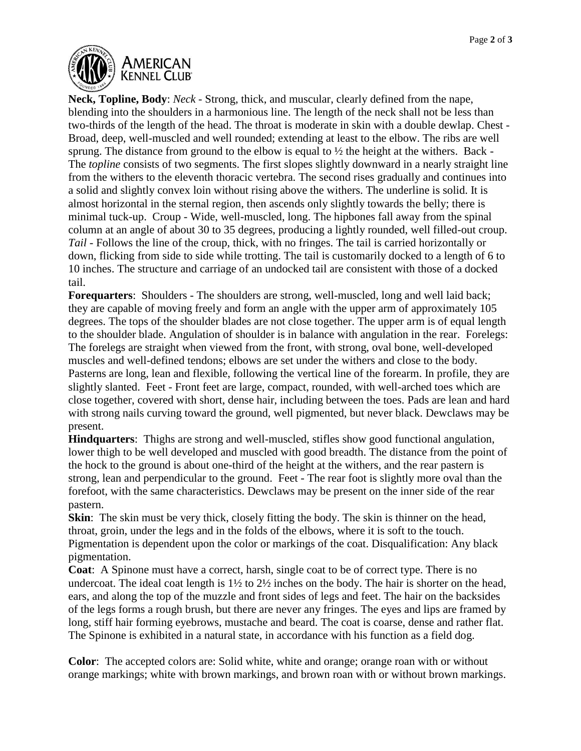

**Neck, Topline, Body**: *Neck* - Strong, thick, and muscular, clearly defined from the nape, blending into the shoulders in a harmonious line. The length of the neck shall not be less than two-thirds of the length of the head. The throat is moderate in skin with a double dewlap. Chest - Broad, deep, well-muscled and well rounded; extending at least to the elbow. The ribs are well sprung. The distance from ground to the elbow is equal to ½ the height at the withers. Back - The *topline* consists of two segments. The first slopes slightly downward in a nearly straight line from the withers to the eleventh thoracic vertebra. The second rises gradually and continues into a solid and slightly convex loin without rising above the withers. The underline is solid. It is almost horizontal in the sternal region, then ascends only slightly towards the belly; there is minimal tuck-up. Croup - Wide, well-muscled, long. The hipbones fall away from the spinal column at an angle of about 30 to 35 degrees, producing a lightly rounded, well filled-out croup. *Tail* - Follows the line of the croup, thick, with no fringes. The tail is carried horizontally or down, flicking from side to side while trotting. The tail is customarily docked to a length of 6 to 10 inches. The structure and carriage of an undocked tail are consistent with those of a docked tail.

**Forequarters**: Shoulders - The shoulders are strong, well-muscled, long and well laid back; they are capable of moving freely and form an angle with the upper arm of approximately 105 degrees. The tops of the shoulder blades are not close together. The upper arm is of equal length to the shoulder blade. Angulation of shoulder is in balance with angulation in the rear. Forelegs: The forelegs are straight when viewed from the front, with strong, oval bone, well-developed muscles and well-defined tendons; elbows are set under the withers and close to the body. Pasterns are long, lean and flexible, following the vertical line of the forearm. In profile, they are slightly slanted. Feet - Front feet are large, compact, rounded, with well-arched toes which are close together, covered with short, dense hair, including between the toes. Pads are lean and hard with strong nails curving toward the ground, well pigmented, but never black. Dewclaws may be present.

**Hindquarters**: Thighs are strong and well-muscled, stifles show good functional angulation, lower thigh to be well developed and muscled with good breadth. The distance from the point of the hock to the ground is about one-third of the height at the withers, and the rear pastern is strong, lean and perpendicular to the ground. Feet - The rear foot is slightly more oval than the forefoot, with the same characteristics. Dewclaws may be present on the inner side of the rear pastern.

**Skin**: The skin must be very thick, closely fitting the body. The skin is thinner on the head, throat, groin, under the legs and in the folds of the elbows, where it is soft to the touch. Pigmentation is dependent upon the color or markings of the coat. Disqualification: Any black pigmentation.

**Coat**: A Spinone must have a correct, harsh, single coat to be of correct type. There is no undercoat. The ideal coat length is 1½ to 2½ inches on the body. The hair is shorter on the head, ears, and along the top of the muzzle and front sides of legs and feet. The hair on the backsides of the legs forms a rough brush, but there are never any fringes. The eyes and lips are framed by long, stiff hair forming eyebrows, mustache and beard. The coat is coarse, dense and rather flat. The Spinone is exhibited in a natural state, in accordance with his function as a field dog.

**Color**: The accepted colors are: Solid white, white and orange; orange roan with or without orange markings; white with brown markings, and brown roan with or without brown markings.